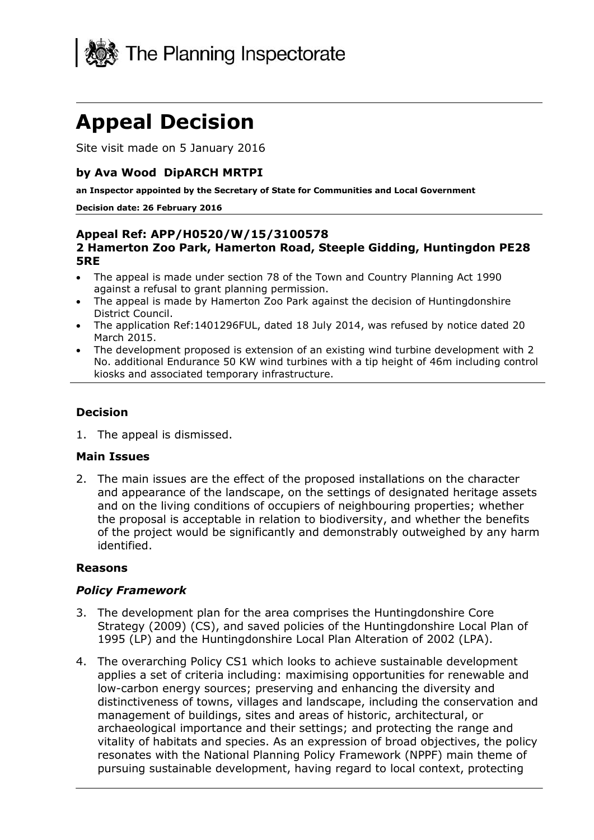

# **Appeal Decision**

Site visit made on 5 January 2016

#### **by Ava Wood DipARCH MRTPI**

**an Inspector appointed by the Secretary of State for Communities and Local Government**

#### **Decision date: 26 February 2016**

#### **Appeal Ref: APP/H0520/W/15/3100578 2 Hamerton Zoo Park, Hamerton Road, Steeple Gidding, Huntingdon PE28 5RE**

- The appeal is made under section 78 of the Town and Country Planning Act 1990 against a refusal to grant planning permission.
- The appeal is made by Hamerton Zoo Park against the decision of Huntingdonshire District Council.
- The application Ref:1401296FUL, dated 18 July 2014, was refused by notice dated 20 March 2015.
- The development proposed is extension of an existing wind turbine development with 2 No. additional Endurance 50 KW wind turbines with a tip height of 46m including control kiosks and associated temporary infrastructure.

### **Decision**

1. The appeal is dismissed.

#### **Main Issues**

2. The main issues are the effect of the proposed installations on the character and appearance of the landscape, on the settings of designated heritage assets and on the living conditions of occupiers of neighbouring properties; whether the proposal is acceptable in relation to biodiversity, and whether the benefits of the project would be significantly and demonstrably outweighed by any harm identified.

#### **Reasons**

#### *Policy Framework*

- 3. The development plan for the area comprises the Huntingdonshire Core Strategy (2009) (CS), and saved policies of the Huntingdonshire Local Plan of 1995 (LP) and the Huntingdonshire Local Plan Alteration of 2002 (LPA).
- 4. The overarching Policy CS1 which looks to achieve sustainable development applies a set of criteria including: maximising opportunities for renewable and low-carbon energy sources; preserving and enhancing the diversity and distinctiveness of towns, villages and landscape, including the conservation and management of buildings, sites and areas of historic, architectural, or archaeological importance and their settings; and protecting the range and vitality of habitats and species. As an expression of broad objectives, the policy resonates with the National Planning Policy Framework (NPPF) main theme of pursuing sustainable development, having regard to local context, protecting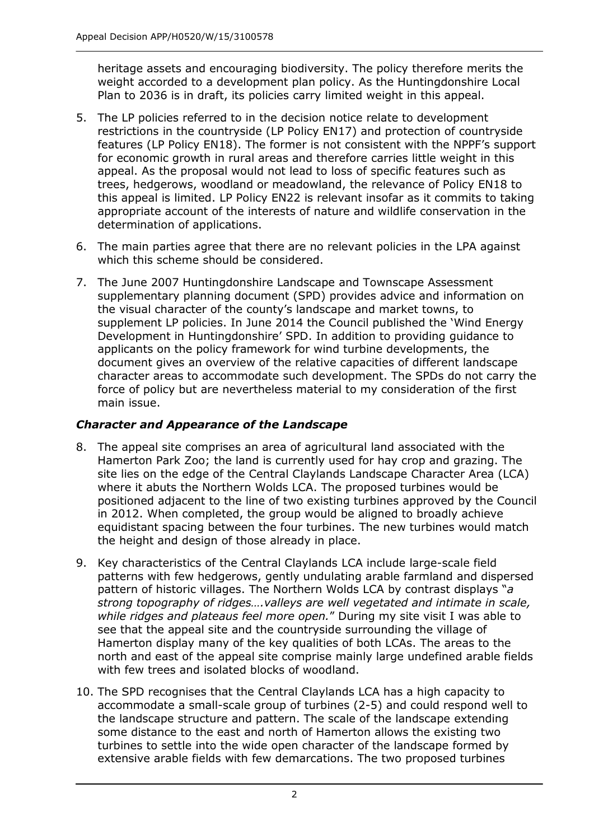heritage assets and encouraging biodiversity. The policy therefore merits the weight accorded to a development plan policy. As the Huntingdonshire Local Plan to 2036 is in draft, its policies carry limited weight in this appeal.

- 5. The LP policies referred to in the decision notice relate to development restrictions in the countryside (LP Policy EN17) and protection of countryside features (LP Policy EN18). The former is not consistent with the NPPF's support for economic growth in rural areas and therefore carries little weight in this appeal. As the proposal would not lead to loss of specific features such as trees, hedgerows, woodland or meadowland, the relevance of Policy EN18 to this appeal is limited. LP Policy EN22 is relevant insofar as it commits to taking appropriate account of the interests of nature and wildlife conservation in the determination of applications.
- 6. The main parties agree that there are no relevant policies in the LPA against which this scheme should be considered.
- 7. The June 2007 Huntingdonshire Landscape and Townscape Assessment supplementary planning document (SPD) provides advice and information on the visual character of the county's landscape and market towns, to supplement LP policies. In June 2014 the Council published the 'Wind Energy Development in Huntingdonshire' SPD. In addition to providing guidance to applicants on the policy framework for wind turbine developments, the document gives an overview of the relative capacities of different landscape character areas to accommodate such development. The SPDs do not carry the force of policy but are nevertheless material to my consideration of the first main issue.

## *Character and Appearance of the Landscape*

- 8. The appeal site comprises an area of agricultural land associated with the Hamerton Park Zoo; the land is currently used for hay crop and grazing. The site lies on the edge of the Central Claylands Landscape Character Area (LCA) where it abuts the Northern Wolds LCA. The proposed turbines would be positioned adjacent to the line of two existing turbines approved by the Council in 2012. When completed, the group would be aligned to broadly achieve equidistant spacing between the four turbines. The new turbines would match the height and design of those already in place.
- 9. Key characteristics of the Central Claylands LCA include large-scale field patterns with few hedgerows, gently undulating arable farmland and dispersed pattern of historic villages. The Northern Wolds LCA by contrast displays "*a strong topography of ridges….valleys are well vegetated and intimate in scale, while ridges and plateaus feel more open.*" During my site visit I was able to see that the appeal site and the countryside surrounding the village of Hamerton display many of the key qualities of both LCAs. The areas to the north and east of the appeal site comprise mainly large undefined arable fields with few trees and isolated blocks of woodland.
- 10. The SPD recognises that the Central Claylands LCA has a high capacity to accommodate a small-scale group of turbines (2-5) and could respond well to the landscape structure and pattern. The scale of the landscape extending some distance to the east and north of Hamerton allows the existing two turbines to settle into the wide open character of the landscape formed by extensive arable fields with few demarcations. The two proposed turbines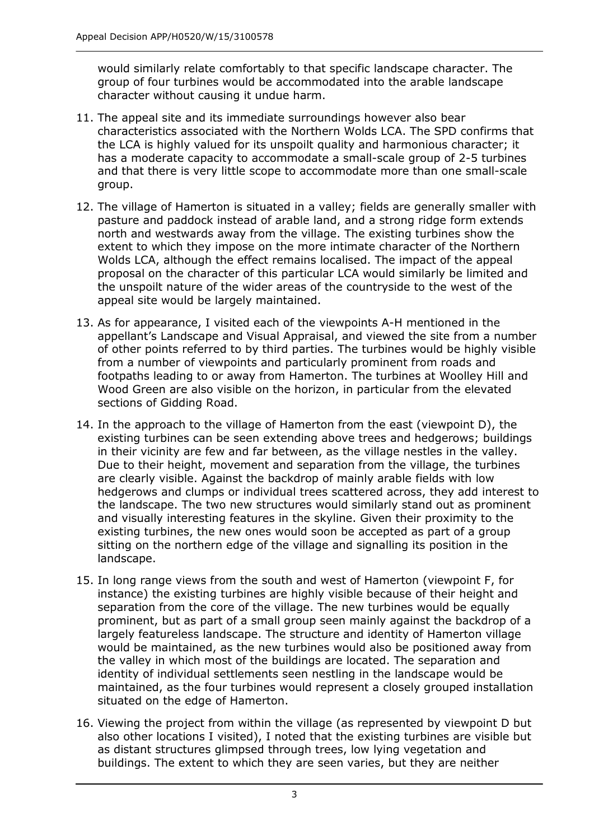would similarly relate comfortably to that specific landscape character. The group of four turbines would be accommodated into the arable landscape character without causing it undue harm.

- 11. The appeal site and its immediate surroundings however also bear characteristics associated with the Northern Wolds LCA. The SPD confirms that the LCA is highly valued for its unspoilt quality and harmonious character; it has a moderate capacity to accommodate a small-scale group of 2-5 turbines and that there is very little scope to accommodate more than one small-scale group.
- 12. The village of Hamerton is situated in a valley; fields are generally smaller with pasture and paddock instead of arable land, and a strong ridge form extends north and westwards away from the village. The existing turbines show the extent to which they impose on the more intimate character of the Northern Wolds LCA, although the effect remains localised. The impact of the appeal proposal on the character of this particular LCA would similarly be limited and the unspoilt nature of the wider areas of the countryside to the west of the appeal site would be largely maintained.
- 13. As for appearance, I visited each of the viewpoints A-H mentioned in the appellant's Landscape and Visual Appraisal, and viewed the site from a number of other points referred to by third parties. The turbines would be highly visible from a number of viewpoints and particularly prominent from roads and footpaths leading to or away from Hamerton. The turbines at Woolley Hill and Wood Green are also visible on the horizon, in particular from the elevated sections of Gidding Road.
- 14. In the approach to the village of Hamerton from the east (viewpoint D), the existing turbines can be seen extending above trees and hedgerows; buildings in their vicinity are few and far between, as the village nestles in the valley. Due to their height, movement and separation from the village, the turbines are clearly visible. Against the backdrop of mainly arable fields with low hedgerows and clumps or individual trees scattered across, they add interest to the landscape. The two new structures would similarly stand out as prominent and visually interesting features in the skyline. Given their proximity to the existing turbines, the new ones would soon be accepted as part of a group sitting on the northern edge of the village and signalling its position in the landscape.
- 15. In long range views from the south and west of Hamerton (viewpoint F, for instance) the existing turbines are highly visible because of their height and separation from the core of the village. The new turbines would be equally prominent, but as part of a small group seen mainly against the backdrop of a largely featureless landscape. The structure and identity of Hamerton village would be maintained, as the new turbines would also be positioned away from the valley in which most of the buildings are located. The separation and identity of individual settlements seen nestling in the landscape would be maintained, as the four turbines would represent a closely grouped installation situated on the edge of Hamerton.
- 16. Viewing the project from within the village (as represented by viewpoint D but also other locations I visited), I noted that the existing turbines are visible but as distant structures glimpsed through trees, low lying vegetation and buildings. The extent to which they are seen varies, but they are neither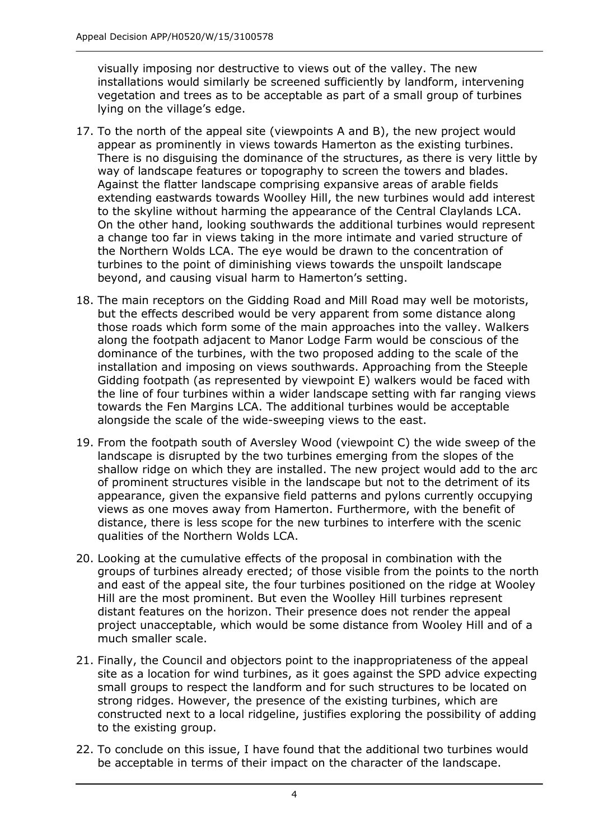visually imposing nor destructive to views out of the valley. The new installations would similarly be screened sufficiently by landform, intervening vegetation and trees as to be acceptable as part of a small group of turbines lying on the village's edge.

- 17. To the north of the appeal site (viewpoints A and B), the new project would appear as prominently in views towards Hamerton as the existing turbines. There is no disguising the dominance of the structures, as there is very little by way of landscape features or topography to screen the towers and blades. Against the flatter landscape comprising expansive areas of arable fields extending eastwards towards Woolley Hill, the new turbines would add interest to the skyline without harming the appearance of the Central Claylands LCA. On the other hand, looking southwards the additional turbines would represent a change too far in views taking in the more intimate and varied structure of the Northern Wolds LCA. The eye would be drawn to the concentration of turbines to the point of diminishing views towards the unspoilt landscape beyond, and causing visual harm to Hamerton's setting.
- <span id="page-3-0"></span>18. The main receptors on the Gidding Road and Mill Road may well be motorists, but the effects described would be very apparent from some distance along those roads which form some of the main approaches into the valley. Walkers along the footpath adjacent to Manor Lodge Farm would be conscious of the dominance of the turbines, with the two proposed adding to the scale of the installation and imposing on views southwards. Approaching from the Steeple Gidding footpath (as represented by viewpoint E) walkers would be faced with the line of four turbines within a wider landscape setting with far ranging views towards the Fen Margins LCA. The additional turbines would be acceptable alongside the scale of the wide-sweeping views to the east.
- 19. From the footpath south of Aversley Wood (viewpoint C) the wide sweep of the landscape is disrupted by the two turbines emerging from the slopes of the shallow ridge on which they are installed. The new project would add to the arc of prominent structures visible in the landscape but not to the detriment of its appearance, given the expansive field patterns and pylons currently occupying views as one moves away from Hamerton. Furthermore, with the benefit of distance, there is less scope for the new turbines to interfere with the scenic qualities of the Northern Wolds LCA.
- 20. Looking at the cumulative effects of the proposal in combination with the groups of turbines already erected; of those visible from the points to the north and east of the appeal site, the four turbines positioned on the ridge at Wooley Hill are the most prominent. But even the Woolley Hill turbines represent distant features on the horizon. Their presence does not render the appeal project unacceptable, which would be some distance from Wooley Hill and of a much smaller scale.
- 21. Finally, the Council and objectors point to the inappropriateness of the appeal site as a location for wind turbines, as it goes against the SPD advice expecting small groups to respect the landform and for such structures to be located on strong ridges. However, the presence of the existing turbines, which are constructed next to a local ridgeline, justifies exploring the possibility of adding to the existing group.
- 22. To conclude on this issue, I have found that the additional two turbines would be acceptable in terms of their impact on the character of the landscape.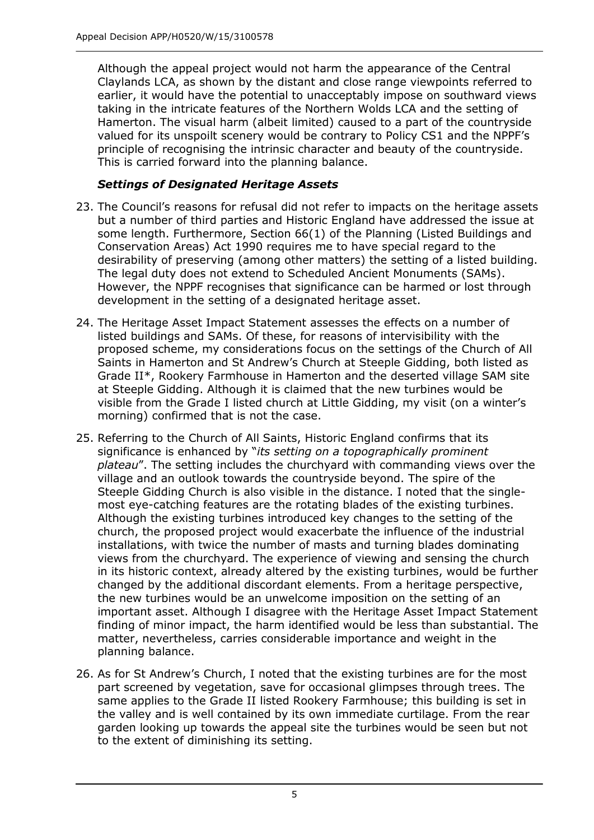Although the appeal project would not harm the appearance of the Central Claylands LCA, as shown by the distant and close range viewpoints referred to earlier, it would have the potential to unacceptably impose on southward views taking in the intricate features of the Northern Wolds LCA and the setting of Hamerton. The visual harm (albeit limited) caused to a part of the countryside valued for its unspoilt scenery would be contrary to Policy CS1 and the NPPF's principle of recognising the intrinsic character and beauty of the countryside. This is carried forward into the planning balance.

## *Settings of Designated Heritage Assets*

- 23. The Council's reasons for refusal did not refer to impacts on the heritage assets but a number of third parties and Historic England have addressed the issue at some length. Furthermore, Section 66(1) of the Planning (Listed Buildings and Conservation Areas) Act 1990 requires me to have special regard to the desirability of preserving (among other matters) the setting of a listed building. The legal duty does not extend to Scheduled Ancient Monuments (SAMs). However, the NPPF recognises that significance can be harmed or lost through development in the setting of a designated heritage asset.
- 24. The Heritage Asset Impact Statement assesses the effects on a number of listed buildings and SAMs. Of these, for reasons of intervisibility with the proposed scheme, my considerations focus on the settings of the Church of All Saints in Hamerton and St Andrew's Church at Steeple Gidding, both listed as Grade II\*, Rookery Farmhouse in Hamerton and the deserted village SAM site at Steeple Gidding. Although it is claimed that the new turbines would be visible from the Grade I listed church at Little Gidding, my visit (on a winter's morning) confirmed that is not the case.
- 25. Referring to the Church of All Saints, Historic England confirms that its significance is enhanced by "*its setting on a topographically prominent plateau*". The setting includes the churchyard with commanding views over the village and an outlook towards the countryside beyond. The spire of the Steeple Gidding Church is also visible in the distance. I noted that the singlemost eye-catching features are the rotating blades of the existing turbines. Although the existing turbines introduced key changes to the setting of the church, the proposed project would exacerbate the influence of the industrial installations, with twice the number of masts and turning blades dominating views from the churchyard. The experience of viewing and sensing the church in its historic context, already altered by the existing turbines, would be further changed by the additional discordant elements. From a heritage perspective, the new turbines would be an unwelcome imposition on the setting of an important asset. Although I disagree with the Heritage Asset Impact Statement finding of minor impact, the harm identified would be less than substantial. The matter, nevertheless, carries considerable importance and weight in the planning balance.
- 26. As for St Andrew's Church, I noted that the existing turbines are for the most part screened by vegetation, save for occasional glimpses through trees. The same applies to the Grade II listed Rookery Farmhouse; this building is set in the valley and is well contained by its own immediate curtilage. From the rear garden looking up towards the appeal site the turbines would be seen but not to the extent of diminishing its setting.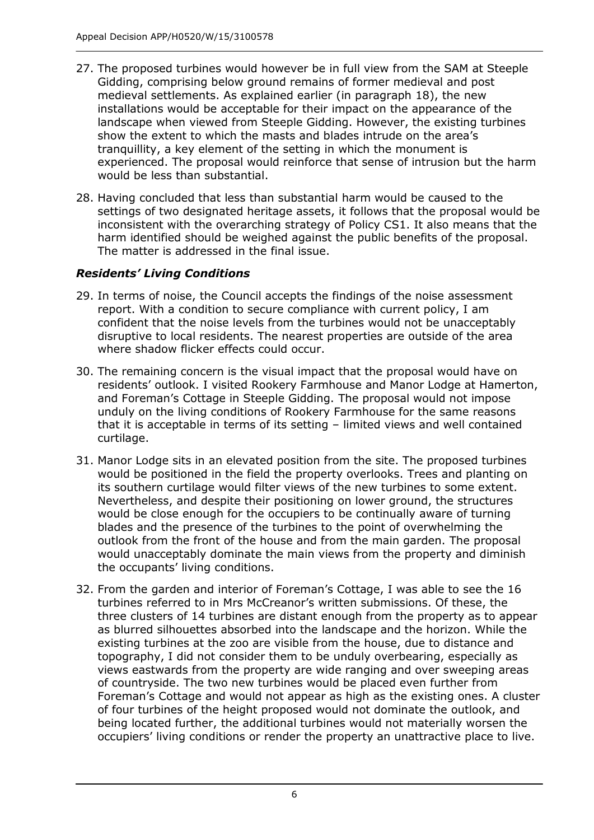- 27. The proposed turbines would however be in full view from the SAM at Steeple Gidding, comprising below ground remains of former medieval and post medieval settlements. As explained earlier (in paragraph [18\)](#page-3-0), the new installations would be acceptable for their impact on the appearance of the landscape when viewed from Steeple Gidding. However, the existing turbines show the extent to which the masts and blades intrude on the area's tranquillity, a key element of the setting in which the monument is experienced. The proposal would reinforce that sense of intrusion but the harm would be less than substantial.
- 28. Having concluded that less than substantial harm would be caused to the settings of two designated heritage assets, it follows that the proposal would be inconsistent with the overarching strategy of Policy CS1. It also means that the harm identified should be weighed against the public benefits of the proposal. The matter is addressed in the final issue.

## *Residents' Living Conditions*

- 29. In terms of noise, the Council accepts the findings of the noise assessment report. With a condition to secure compliance with current policy, I am confident that the noise levels from the turbines would not be unacceptably disruptive to local residents. The nearest properties are outside of the area where shadow flicker effects could occur.
- 30. The remaining concern is the visual impact that the proposal would have on residents' outlook. I visited Rookery Farmhouse and Manor Lodge at Hamerton, and Foreman's Cottage in Steeple Gidding. The proposal would not impose unduly on the living conditions of Rookery Farmhouse for the same reasons that it is acceptable in terms of its setting – limited views and well contained curtilage.
- 31. Manor Lodge sits in an elevated position from the site. The proposed turbines would be positioned in the field the property overlooks. Trees and planting on its southern curtilage would filter views of the new turbines to some extent. Nevertheless, and despite their positioning on lower ground, the structures would be close enough for the occupiers to be continually aware of turning blades and the presence of the turbines to the point of overwhelming the outlook from the front of the house and from the main garden. The proposal would unacceptably dominate the main views from the property and diminish the occupants' living conditions.
- 32. From the garden and interior of Foreman's Cottage, I was able to see the 16 turbines referred to in Mrs McCreanor's written submissions. Of these, the three clusters of 14 turbines are distant enough from the property as to appear as blurred silhouettes absorbed into the landscape and the horizon. While the existing turbines at the zoo are visible from the house, due to distance and topography, I did not consider them to be unduly overbearing, especially as views eastwards from the property are wide ranging and over sweeping areas of countryside. The two new turbines would be placed even further from Foreman's Cottage and would not appear as high as the existing ones. A cluster of four turbines of the height proposed would not dominate the outlook, and being located further, the additional turbines would not materially worsen the occupiers' living conditions or render the property an unattractive place to live.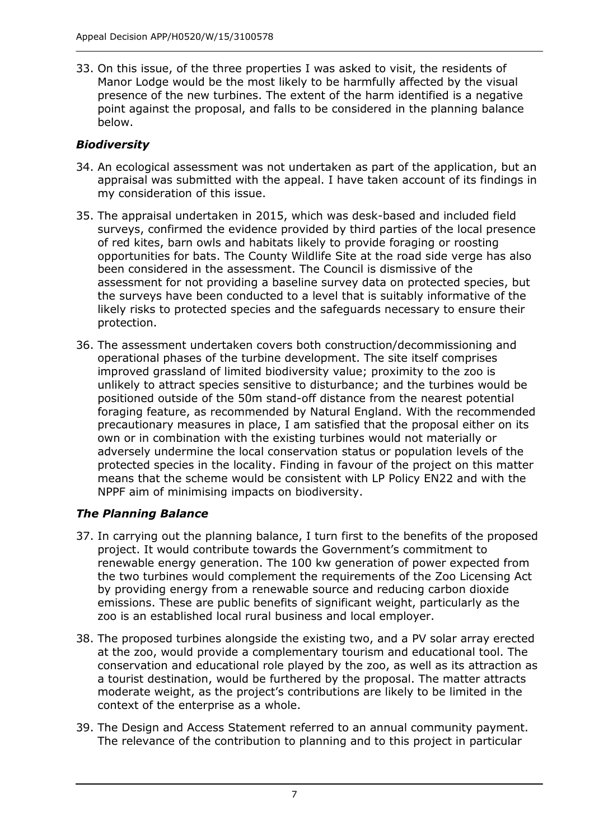33. On this issue, of the three properties I was asked to visit, the residents of Manor Lodge would be the most likely to be harmfully affected by the visual presence of the new turbines. The extent of the harm identified is a negative point against the proposal, and falls to be considered in the planning balance below.

## *Biodiversity*

- 34. An ecological assessment was not undertaken as part of the application, but an appraisal was submitted with the appeal. I have taken account of its findings in my consideration of this issue.
- 35. The appraisal undertaken in 2015, which was desk-based and included field surveys, confirmed the evidence provided by third parties of the local presence of red kites, barn owls and habitats likely to provide foraging or roosting opportunities for bats. The County Wildlife Site at the road side verge has also been considered in the assessment. The Council is dismissive of the assessment for not providing a baseline survey data on protected species, but the surveys have been conducted to a level that is suitably informative of the likely risks to protected species and the safeguards necessary to ensure their protection.
- 36. The assessment undertaken covers both construction/decommissioning and operational phases of the turbine development. The site itself comprises improved grassland of limited biodiversity value; proximity to the zoo is unlikely to attract species sensitive to disturbance; and the turbines would be positioned outside of the 50m stand-off distance from the nearest potential foraging feature, as recommended by Natural England. With the recommended precautionary measures in place, I am satisfied that the proposal either on its own or in combination with the existing turbines would not materially or adversely undermine the local conservation status or population levels of the protected species in the locality. Finding in favour of the project on this matter means that the scheme would be consistent with LP Policy EN22 and with the NPPF aim of minimising impacts on biodiversity.

## *The Planning Balance*

- 37. In carrying out the planning balance, I turn first to the benefits of the proposed project. It would contribute towards the Government's commitment to renewable energy generation. The 100 kw generation of power expected from the two turbines would complement the requirements of the Zoo Licensing Act by providing energy from a renewable source and reducing carbon dioxide emissions. These are public benefits of significant weight, particularly as the zoo is an established local rural business and local employer.
- 38. The proposed turbines alongside the existing two, and a PV solar array erected at the zoo, would provide a complementary tourism and educational tool. The conservation and educational role played by the zoo, as well as its attraction as a tourist destination, would be furthered by the proposal. The matter attracts moderate weight, as the project's contributions are likely to be limited in the context of the enterprise as a whole.
- 39. The Design and Access Statement referred to an annual community payment. The relevance of the contribution to planning and to this project in particular